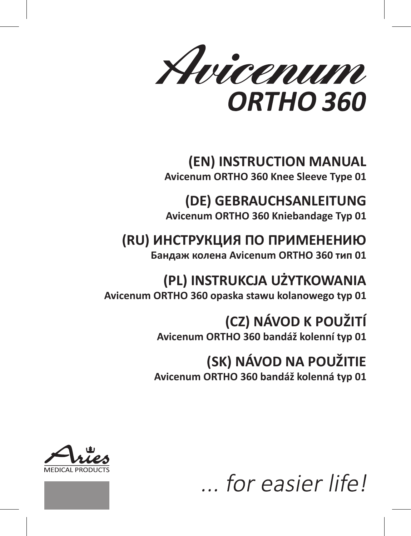Avicenum ORTHO 360

# **(EN) INSTRUCTION MANUAL Avicenum ORTHO 360 Knee Sleeve Type 01**

**(DE) GEBRAUCHSANLEITUNG**

**Avicenum ORTHO 360 Kniebandage Typ 01**

# **(RU) ИНСТРУКЦИЯ ПО ПРИМЕНЕНИЮ**

**Бандаж колена Avicenum ORTHO 360 тип 01**

# **(PL) INSTRUKCJA UŻYTKOWANIA Avicenum ORTHO 360 opaska stawu kolanowego typ 01**

**(CZ) NÁVOD K POUŽITÍ**

**Avicenum ORTHO 360 bandáž kolenní typ 01**

# **(SK) NÁVOD NA POUŽITIE**

**Avicenum ORTHO 360 bandáž kolenná typ 01**





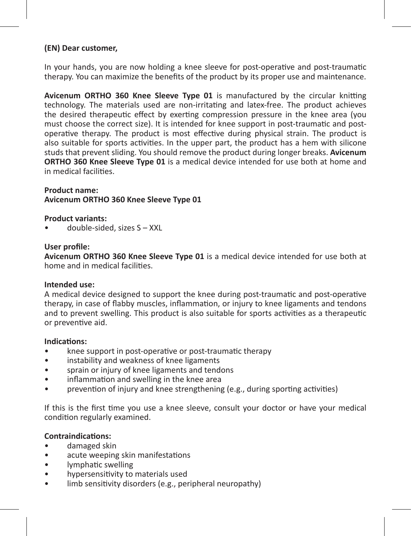# **(EN) Dear customer,**

In your hands, you are now holding a knee sleeve for post-operative and post-traumatic therapy. You can maximize the benefits of the product by its proper use and maintenance.

**Avicenum ORTHO 360 Knee Sleeve Type 01** is manufactured by the circular knitting technology. The materials used are non-irritating and latex-free. The product achieves the desired therapeutic effect by exerting compression pressure in the knee area (you must choose the correct size). It is intended for knee support in post-traumatic and postoperative therapy. The product is most effective during physical strain. The product is also suitable for sports activities. In the upper part, the product has a hem with silicone studs that prevent sliding. You should remove the product during longer breaks. **Avicenum ORTHO 360 Knee Sleeve Type 01** is a medical device intended for use both at home and in medical facilities.

**Product name: Avicenum ORTHO 360 Knee Sleeve Type 01**

# **Product variants:**

• double-sided, sizes S – XXL

#### **User profile:**

**Avicenum ORTHO 360 Knee Sleeve Type 01** is a medical device intended for use both at home and in medical facilities.

#### **Intended use:**

A medical device designed to support the knee during post-traumatic and post-operative therapy, in case of flabby muscles, inflammation, or injury to knee ligaments and tendons and to prevent swelling. This product is also suitable for sports activities as a therapeutic or preventive aid.

#### **Indications:**

- knee support in post-operative or post-traumatic therapy
- instability and weakness of knee ligaments
- sprain or injury of knee ligaments and tendons
- inflammation and swelling in the knee area
- prevention of injury and knee strengthening (e.g., during sporting activities)

If this is the first time you use a knee sleeve, consult your doctor or have your medical condition regularly examined.

#### **Contraindications:**

- damaged skin
- acute weeping skin manifestations
- lymphatic swelling
- hypersensitivity to materials used
- limb sensitivity disorders (e.g., peripheral neuropathy)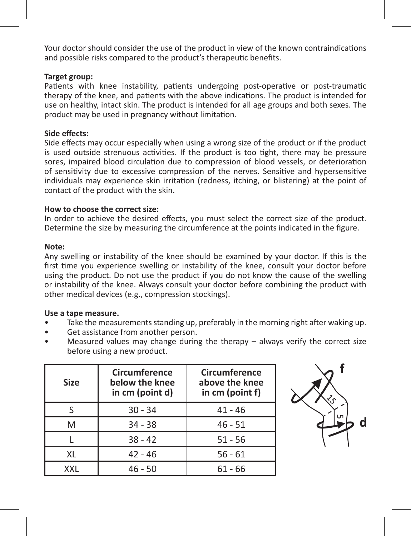Your doctor should consider the use of the product in view of the known contraindications and possible risks compared to the product's therapeutic benefits.

# **Target group:**

Patients with knee instability, patients undergoing post-operative or post-traumatic therapy of the knee, and patients with the above indications. The product is intended for use on healthy, intact skin. The product is intended for all age groups and both sexes. The product may be used in pregnancy without limitation.

#### **Side effects:**

Side effects may occur especially when using a wrong size of the product or if the product is used outside strenuous activities. If the product is too tight, there may be pressure sores, impaired blood circulation due to compression of blood vessels, or deterioration of sensitivity due to excessive compression of the nerves. Sensitive and hypersensitive individuals may experience skin irritation (redness, itching, or blistering) at the point of contact of the product with the skin.

# **How to choose the correct size:**

In order to achieve the desired effects, you must select the correct size of the product. Determine the size by measuring the circumference at the points indicated in the figure.

#### **Note:**

Any swelling or instability of the knee should be examined by your doctor. If this is the first time you experience swelling or instability of the knee, consult your doctor before using the product. Do not use the product if you do not know the cause of the swelling or instability of the knee. Always consult your doctor before combining the product with other medical devices (e.g., compression stockings).

#### **Use a tape measure.**

- Take the measurements standing up, preferably in the morning right after waking up.
- Get assistance from another person.
- Measured values may change during the therapy  $-$  always verify the correct size before using a new product.

| Size | Circumference<br>below the knee<br>in cm (point d) | Circumference<br>above the knee<br>in cm (point f) |
|------|----------------------------------------------------|----------------------------------------------------|
|      | $30 - 34$                                          | $41 - 46$                                          |
| M    | $34 - 38$                                          | $46 - 51$                                          |
|      | $38 - 42$                                          | $51 - 56$                                          |
| XL   | $42 - 46$                                          | $56 - 61$                                          |
| XXI  | $46 - 50$                                          | $61 - 66$                                          |

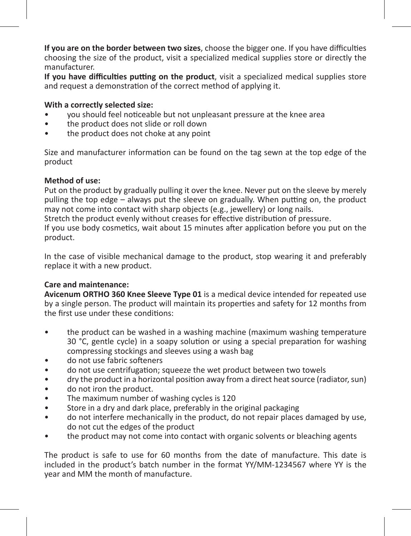**If you are on the border between two sizes**, choose the bigger one. If you have difficulties choosing the size of the product, visit a specialized medical supplies store or directly the manufacturer.

**If you have difficulties putting on the product**, visit a specialized medical supplies store and request a demonstration of the correct method of applying it.

# **With a correctly selected size:**

- you should feel noticeable but not unpleasant pressure at the knee area
- the product does not slide or roll down
- the product does not choke at any point

Size and manufacturer information can be found on the tag sewn at the top edge of the product

#### **Method of use:**

Put on the product by gradually pulling it over the knee. Never put on the sleeve by merely pulling the top edge – always put the sleeve on gradually. When putting on, the product may not come into contact with sharp objects (e.g., jewellery) or long nails.

Stretch the product evenly without creases for effective distribution of pressure.

If you use body cosmetics, wait about 15 minutes after application before you put on the product.

In the case of visible mechanical damage to the product, stop wearing it and preferably replace it with a new product.

# **Care and maintenance:**

**Avicenum ORTHO 360 Knee Sleeve Type 01** is a medical device intended for repeated use by a single person. The product will maintain its properties and safety for 12 months from the first use under these conditions:

- the product can be washed in a washing machine (maximum washing temperature 30 °C, gentle cycle) in a soapy solution or using a special preparation for washing compressing stockings and sleeves using a wash bag
- do not use fabric softeners
- do not use centrifugation; squeeze the wet product between two towels
- dry the product in a horizontal position away from a direct heat source (radiator, sun)
- do not iron the product.
- The maximum number of washing cycles is 120
- Store in a dry and dark place, preferably in the original packaging
- do not interfere mechanically in the product, do not repair places damaged by use, do not cut the edges of the product
- the product may not come into contact with organic solvents or bleaching agents

The product is safe to use for 60 months from the date of manufacture. This date is included in the product's batch number in the format YY/MM-1234567 where YY is the year and MM the month of manufacture.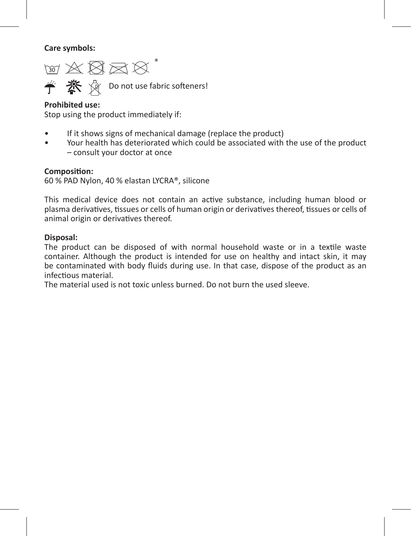**Care symbols:** 

 $\text{W} \boxtimes \text{W} \boxtimes \text{W}^*$ **学 茶** 《 Do not use fabric softeners!

# **Prohibited use:**

Stop using the product immediately if:

- If it shows signs of mechanical damage (replace the product)
- Your health has deteriorated which could be associated with the use of the product – consult your doctor at once

# **Composition:**

60 % PAD Nylon, 40 % elastan LYCRA®, silicone

This medical device does not contain an active substance, including human blood or plasma derivatives, tissues or cells of human origin or derivatives thereof, tissues or cells of animal origin or derivatives thereof.

# **Disposal:**

The product can be disposed of with normal household waste or in a textile waste container. Although the product is intended for use on healthy and intact skin, it may be contaminated with body fluids during use. In that case, dispose of the product as an infectious material.

The material used is not toxic unless burned. Do not burn the used sleeve.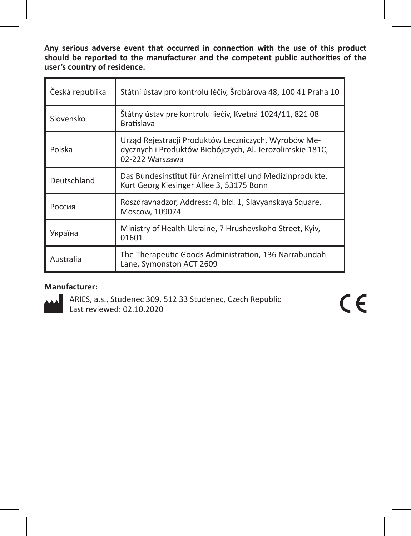**Any serious adverse event that occurred in connection with the use of this product should be reported to the manufacturer and the competent public authorities of the user's country of residence.** 

| Česká republika | Státní ústav pro kontrolu léčiv, Šrobárova 48, 100 41 Praha 10                                                                       |
|-----------------|--------------------------------------------------------------------------------------------------------------------------------------|
| Slovensko       | Štátny ústav pre kontrolu liečiv, Kvetná 1024/11, 821 08<br><b>Bratislava</b>                                                        |
| Polska          | Urząd Rejestracji Produktów Leczniczych, Wyrobów Me-<br>dycznych i Produktów Biobójczych, Al. Jerozolimskie 181C,<br>02-222 Warszawa |
| Deutschland     | Das Bundesinstitut für Arzneimittel und Medizinprodukte,<br>Kurt Georg Kiesinger Allee 3, 53175 Bonn                                 |
| Россия          | Roszdravnadzor, Address: 4, bld. 1, Slavyanskaya Square,<br>Moscow, 109074                                                           |
| Україна         | Ministry of Health Ukraine, 7 Hrushevskoho Street, Kyiv,<br>01601                                                                    |
| Australia       | The Therapeutic Goods Administration, 136 Narrabundah<br>Lane, Symonston ACT 2609                                                    |

# **Manufacturer:**



ARIES, a.s., Studenec 309, 512 33 Studenec, Czech Republic Last reviewed: 02.10.2020

 $C \in$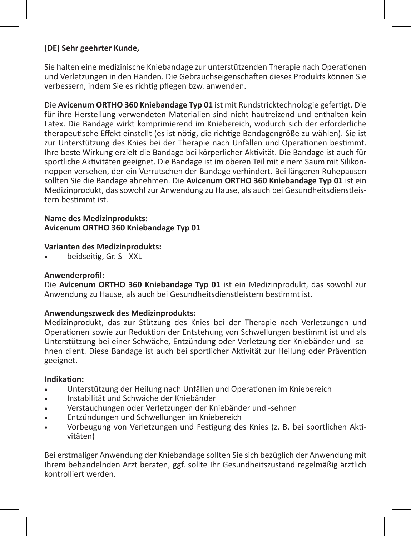# **(DE) Sehr geehrter Kunde,**

Sie halten eine medizinische Kniebandage zur unterstützenden Therapie nach Operationen und Verletzungen in den Händen. Die Gebrauchseigenschaften dieses Produkts können Sie verbessern, indem Sie es richtig pflegen bzw. anwenden.

Die **Avicenum ORTHO 360 Kniebandage Typ 01** ist mit Rundstricktechnologie gefertigt. Die für ihre Herstellung verwendeten Materialien sind nicht hautreizend und enthalten kein Latex. Die Bandage wirkt komprimierend im Kniebereich, wodurch sich der erforderliche therapeutische Effekt einstellt (es ist nötig, die richtige Bandagengröße zu wählen). Sie ist zur Unterstützung des Knies bei der Therapie nach Unfällen und Operationen bestimmt. Ihre beste Wirkung erzielt die Bandage bei körperlicher Aktivität. Die Bandage ist auch für sportliche Aktivitäten geeignet. Die Bandage ist im oberen Teil mit einem Saum mit Silikonnoppen versehen, der ein Verrutschen der Bandage verhindert. Bei längeren Ruhepausen sollten Sie die Bandage abnehmen. Die **Avicenum ORTHO 360 Kniebandage Typ 01** ist ein Medizinprodukt, das sowohl zur Anwendung zu Hause, als auch bei Gesundheitsdienstleistern bestimmt ist.

#### **Name des Medizinprodukts: Avicenum ORTHO 360 Kniebandage Typ 01**

#### **Varianten des Medizinprodukts:**

beidseitig, Gr. S - XXL

# **Anwenderprofil:**

Die **Avicenum ORTHO 360 Kniebandage Typ 01** ist ein Medizinprodukt, das sowohl zur Anwendung zu Hause, als auch bei Gesundheitsdienstleistern bestimmt ist.

# **Anwendungszweck des Medizinprodukts:**

Medizinprodukt, das zur Stützung des Knies bei der Therapie nach Verletzungen und Operationen sowie zur Reduktion der Entstehung von Schwellungen bestimmt ist und als Unterstützung bei einer Schwäche, Entzündung oder Verletzung der Kniebänder und -sehnen dient. Diese Bandage ist auch bei sportlicher Aktivität zur Heilung oder Prävention geeignet.

#### **Indikation:**

- Unterstützung der Heilung nach Unfällen und Operationen im Kniebereich
- Instabilität und Schwäche der Kniebänder
- Verstauchungen oder Verletzungen der Kniebänder und -sehnen
- Entzündungen und Schwellungen im Kniebereich
- Vorbeugung von Verletzungen und Festigung des Knies (z. B. bei sportlichen Aktivitäten)

Bei erstmaliger Anwendung der Kniebandage sollten Sie sich bezüglich der Anwendung mit Ihrem behandelnden Arzt beraten, ggf. sollte Ihr Gesundheitszustand regelmäßig ärztlich kontrolliert werden.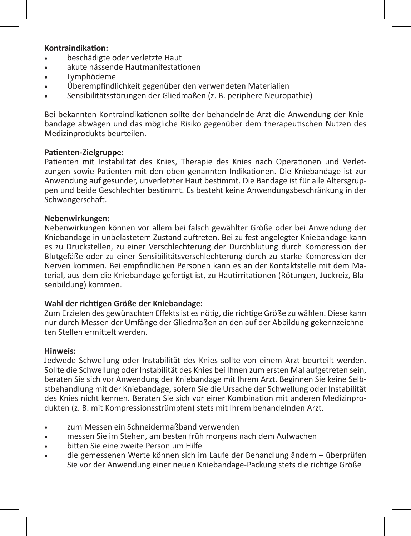# **Kontraindikation:**

- beschädigte oder verletzte Haut
- akute nässende Hautmanifestationen
- Lymphödeme
- Überempfindlichkeit gegenüber den verwendeten Materialien
- Sensibilitätsstörungen der Gliedmaßen (z. B. periphere Neuropathie)

Bei bekannten Kontraindikationen sollte der behandelnde Arzt die Anwendung der Kniebandage abwägen und das mögliche Risiko gegenüber dem therapeutischen Nutzen des Medizinprodukts beurteilen.

#### **Patienten-Zielgruppe:**

Patienten mit Instabilität des Knies, Therapie des Knies nach Operationen und Verletzungen sowie Patienten mit den oben genannten Indikationen. Die Kniebandage ist zur Anwendung auf gesunder, unverletzter Haut bestimmt. Die Bandage ist für alle Altersgruppen und beide Geschlechter bestimmt. Es besteht keine Anwendungsbeschränkung in der Schwangerschaft.

#### **Nebenwirkungen:**

Nebenwirkungen können vor allem bei falsch gewählter Größe oder bei Anwendung der Kniebandage in unbelastetem Zustand auftreten. Bei zu fest angelegter Kniebandage kann es zu Druckstellen, zu einer Verschlechterung der Durchblutung durch Kompression der Blutgefäße oder zu einer Sensibilitätsverschlechterung durch zu starke Kompression der Nerven kommen. Bei empfindlichen Personen kann es an der Kontaktstelle mit dem Material, aus dem die Kniebandage gefertigt ist, zu Hautirritationen (Rötungen, Juckreiz, Blasenbildung) kommen.

#### **Wahl der richtigen Größe der Kniebandage:**

Zum Erzielen des gewünschten Effekts ist es nötig, die richtige Größe zu wählen. Diese kann nur durch Messen der Umfänge der Gliedmaßen an den auf der Abbildung gekennzeichneten Stellen ermittelt werden.

#### **Hinweis:**

Jedwede Schwellung oder Instabilität des Knies sollte von einem Arzt beurteilt werden. Sollte die Schwellung oder Instabilität des Knies bei Ihnen zum ersten Mal aufgetreten sein, beraten Sie sich vor Anwendung der Kniebandage mit Ihrem Arzt. Beginnen Sie keine Selbstbehandlung mit der Kniebandage, sofern Sie die Ursache der Schwellung oder Instabilität des Knies nicht kennen. Beraten Sie sich vor einer Kombination mit anderen Medizinprodukten (z. B. mit Kompressionsstrümpfen) stets mit Ihrem behandelnden Arzt.

- zum Messen ein Schneidermaßband verwenden
- messen Sie im Stehen, am besten früh morgens nach dem Aufwachen
- • bitten Sie eine zweite Person um Hilfe
- die gemessenen Werte können sich im Laufe der Behandlung ändern überprüfen Sie vor der Anwendung einer neuen Kniebandage-Packung stets die richtige Größe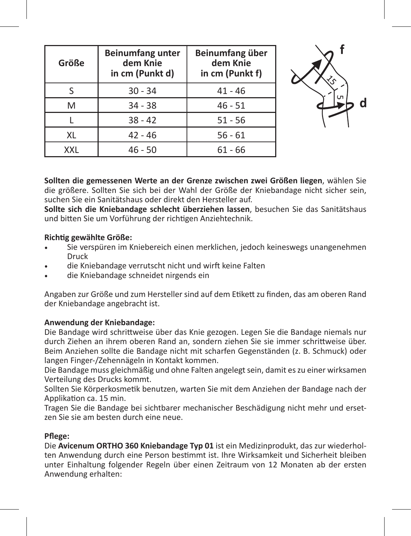| Größe | <b>Beinumfang unter</b><br>dem Knie<br>in cm (Punkt d) | Beinumfang über<br>dem Knie<br>in cm (Punkt f) |  |
|-------|--------------------------------------------------------|------------------------------------------------|--|
|       | $30 - 34$                                              | $41 - 46$                                      |  |
| M     | $34 - 38$                                              | $46 - 51$                                      |  |
|       | $38 - 42$                                              | $51 - 56$                                      |  |
| XL    | $42 - 46$                                              | $56 - 61$                                      |  |
| XXL   | $46 - 50$                                              | $61 - 66$                                      |  |



**Sollten die gemessenen Werte an der Grenze zwischen zwei Größen liegen**, wählen Sie die größere. Sollten Sie sich bei der Wahl der Größe der Kniebandage nicht sicher sein, suchen Sie ein Sanitätshaus oder direkt den Hersteller auf.

**Sollte sich die Kniebandage schlecht überziehen lassen**, besuchen Sie das Sanitätshaus und bitten Sie um Vorführung der richtigen Anziehtechnik.

# **Richtig gewählte Größe:**

- Sie verspüren im Kniebereich einen merklichen, jedoch keineswegs unangenehmen Druck
- die Kniebandage verrutscht nicht und wirft keine Falten
- die Kniebandage schneidet nirgends ein

Angaben zur Größe und zum Hersteller sind auf dem Etikett zu finden, das am oberen Rand der Kniebandage angebracht ist.

# **Anwendung der Kniebandage:**

Die Bandage wird schrittweise über das Knie gezogen. Legen Sie die Bandage niemals nur durch Ziehen an ihrem oberen Rand an, sondern ziehen Sie sie immer schrittweise über. Beim Anziehen sollte die Bandage nicht mit scharfen Gegenständen (z. B. Schmuck) oder langen Finger-/Zehennägeln in Kontakt kommen.

Die Bandage muss gleichmäßig und ohne Falten angelegt sein, damit es zu einer wirksamen Verteilung des Drucks kommt.

Sollten Sie Körperkosmetik benutzen, warten Sie mit dem Anziehen der Bandage nach der Applikation ca. 15 min.

Tragen Sie die Bandage bei sichtbarer mechanischer Beschädigung nicht mehr und ersetzen Sie sie am besten durch eine neue.

# **Pflege:**

Die **Avicenum ORTHO 360 Kniebandage Typ 01** ist ein Medizinprodukt, das zur wiederholten Anwendung durch eine Person bestimmt ist. Ihre Wirksamkeit und Sicherheit bleiben unter Einhaltung folgender Regeln über einen Zeitraum von 12 Monaten ab der ersten Anwendung erhalten: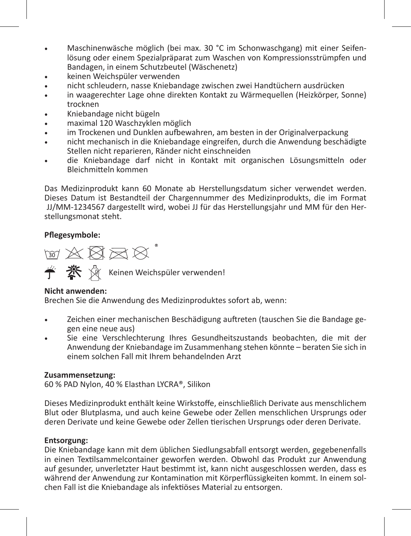- • Maschinenwäsche möglich (bei max. 30 °C im Schonwaschgang) mit einer Seifenlösung oder einem Spezialpräparat zum Waschen von Kompressionsstrümpfen und Bandagen, in einem Schutzbeutel (Wäschenetz)
- keinen Weichspüler verwenden
- nicht schleudern, nasse Kniebandage zwischen zwei Handtüchern ausdrücken
- in waagerechter Lage ohne direkten Kontakt zu Wärmequellen (Heizkörper, Sonne) trocknen
- Kniebandage nicht bügeln
- maximal 120 Waschzyklen möglich
- im Trockenen und Dunklen aufbewahren, am besten in der Originalverpackung
- nicht mechanisch in die Kniebandage eingreifen, durch die Anwendung beschädigte Stellen nicht reparieren, Ränder nicht einschneiden
- die Kniebandage darf nicht in Kontakt mit organischen Lösungsmitteln oder Bleichmitteln kommen

Das Medizinprodukt kann 60 Monate ab Herstellungsdatum sicher verwendet werden. Dieses Datum ist Bestandteil der Chargennummer des Medizinprodukts, die im Format JJ/MM-1234567 dargestellt wird, wobei JJ für das Herstellungsjahr und MM für den Herstellungsmonat steht.

# **Pflegesymbole:**

 $\text{W} \boxtimes \text{W} \boxtimes \text{W}^*$ **参** ※ Keinen Weichspüler verwenden!

# **Nicht anwenden:**

Brechen Sie die Anwendung des Medizinproduktes sofort ab, wenn:

- Zeichen einer mechanischen Beschädigung auftreten (tauschen Sie die Bandage gegen eine neue aus)
- Sie eine Verschlechterung Ihres Gesundheitszustands beobachten, die mit der Anwendung der Kniebandage im Zusammenhang stehen könnte – beraten Sie sich in einem solchen Fall mit Ihrem behandelnden Arzt

# **Zusammensetzung:**

60 % PAD Nylon, 40 % Elasthan LYCRA®, Silikon

Dieses Medizinprodukt enthält keine Wirkstoffe, einschließlich Derivate aus menschlichem Blut oder Blutplasma, und auch keine Gewebe oder Zellen menschlichen Ursprungs oder deren Derivate und keine Gewebe oder Zellen tierischen Ursprungs oder deren Derivate.

# **Entsorgung:**

Die Kniebandage kann mit dem üblichen Siedlungsabfall entsorgt werden, gegebenenfalls in einen Textilsammelcontainer geworfen werden. Obwohl das Produkt zur Anwendung auf gesunder, unverletzter Haut bestimmt ist, kann nicht ausgeschlossen werden, dass es während der Anwendung zur Kontamination mit Körperflüssigkeiten kommt. In einem solchen Fall ist die Kniebandage als infektiöses Material zu entsorgen.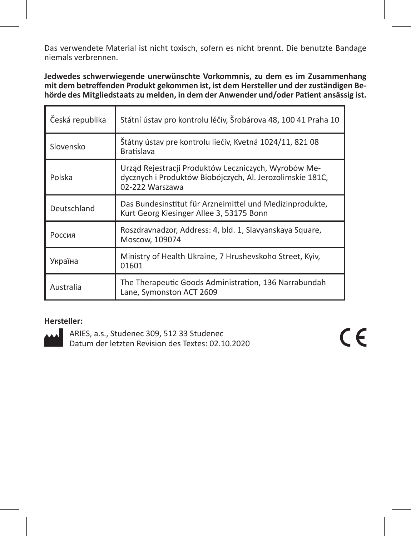Das verwendete Material ist nicht toxisch, sofern es nicht brennt. Die benutzte Bandage niemals verbrennen.

**Jedwedes schwerwiegende unerwünschte Vorkommnis, zu dem es im Zusammenhang mit dem betreffenden Produkt gekommen ist, ist dem Hersteller und der zuständigen Behörde des Mitgliedstaats zu melden, in dem der Anwender und/oder Patient ansässig ist.** 

| Česká republika | Státní ústav pro kontrolu léčiv, Šrobárova 48, 100 41 Praha 10                                                                       |
|-----------------|--------------------------------------------------------------------------------------------------------------------------------------|
| Slovensko       | Štátny ústav pre kontrolu liečiv, Kvetná 1024/11, 821 08<br><b>Bratislava</b>                                                        |
| Polska          | Urząd Rejestracji Produktów Leczniczych, Wyrobów Me-<br>dycznych i Produktów Biobójczych, Al. Jerozolimskie 181C,<br>02-222 Warszawa |
| Deutschland     | Das Bundesinstitut für Arzneimittel und Medizinprodukte,<br>Kurt Georg Kiesinger Allee 3, 53175 Bonn                                 |
| Россия          | Roszdravnadzor, Address: 4, bld. 1, Slavyanskaya Square,<br>Moscow, 109074                                                           |
| Україна         | Ministry of Health Ukraine, 7 Hrushevskoho Street, Kyiv,<br>01601                                                                    |
| Australia       | The Therapeutic Goods Administration, 136 Narrabundah<br>Lane, Symonston ACT 2609                                                    |

# **Hersteller:**

ARIES, a.s., Studenec 309, 512 33 Studenec Datum der letzten Revision des Textes: 02.10.2020  $\epsilon$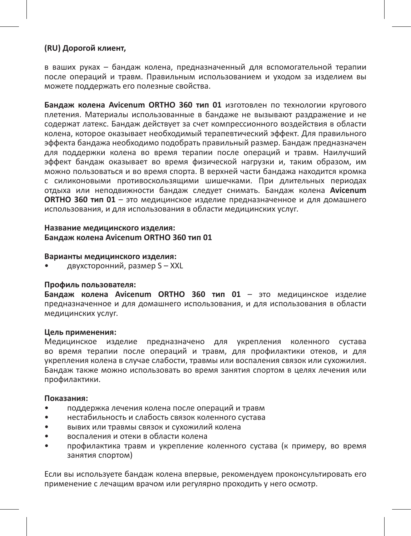# **(RU) Дорогой клиент,**

в ваших руках – бандаж колена, предназначенный для вспомогательной терапии после операций и травм. Правильным использованием и уходом за изделием вы можете поддержать его полезные свойства.

**Бандаж колена Avicenum ORTHO 360 тип 01** изготовлен по технологии кругового плетения. Материалы использованные в бандаже не вызывают раздражение и не содержат латекс. Бандаж действует за счет компрессионного воздействия в области колена, которое оказывает необходимый терапевтический эффект. Для правильного эффекта бандажа необходимо подобрать правильный размер. Бандаж предназначен для поддержки колена во время терапии после операций и травм. Наилучший эффект бандаж оказывает во время физической нагрузки и, таким образом, им можно пользоваться и во время спорта. В верхней части бандажа находится кромка с силиконовыми противоскользящими шишечками. При длительных периодах отдыха или неподвижности бандаж следует снимать. Бандаж колена **Avicenum ORTHO 360 тип 01** – это медицинское изделие предназначенное и для домашнего использования, и для использования в области медицинских услуг.

#### **Название медицинского изделия: Бандаж колена Avicenum ORTHO 360 тип 01**

#### **Варианты медицинского изделия:**

• двухсторонний, размер S – XXL

#### **Профиль пользователя:**

**Бандаж колена Avicenum ORTHO 360 тип 01** – это медицинское изделие предназначенное и для домашнего использования, и для использования в области медицинских услуг.

#### **Цель применения:**

Медицинское изделие предназначено для укрепления коленного сустава во время терапии после операций и травм, для профилактики отеков, и для укрепления колена в случае слабости, травмы или воспаления связок или сухожилия. Бандаж также можно использовать во время занятия спортом в целях лечения или профилактики.

#### **Показания:**

- поддержка лечения колена после операций и травм
- нестабильность и слабость связок коленного сустава
- вывих или травмы связок и сухожилий колена
- воспаления и отеки в области колена
- профилактика травм и укрепление коленного сустава (к примеру, во время занятия спортом)

Если вы используете бандаж колена впервые, рекомендуем проконсультировать его применение с лечащим врачом или регулярно проходить у него осмотр.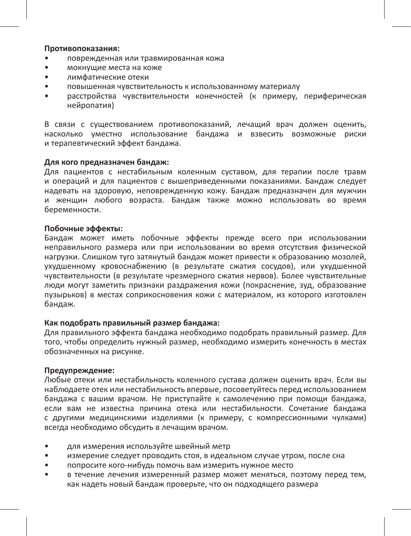#### **Противопоказания:**

- поврежденная или травмированная кожа
- мокнущие места на коже
- лимфатические отеки
- повышенная чувствительность к использованному материалу
- расстройства чувствительности конечностей (к примеру, периферическая .<br>нейропатия)

В связи с существованием противопоказаний, лечащий врач должен оценить, насколько уместно использование бандажа и взвесить возможные риски и терапевтический эффект бандажа.

#### **Для кого предназначен бандаж:**

Для пациентов с нестабильным коленным суставом, для терапии после травм и операций и для пациентов с вышеприведенными показаниями. Бандаж следует надевать на здоровую, неповрежденную кожу. Бандаж предназначен для мужчин и женщин любого возраста. Бандаж также можно использовать во время беременности.

#### **Побочные эффекты:**

Бандаж может иметь побочные эффекты прежде всего при использовании неправильного размера или при использовании во время отсутствия физической нагрузки. Слишком туго затянутый бандаж может привести к образованию мозолей, ухудшенному кровоснабжению (в результате сжатия сосудов), или ухудшенной чувствительности (в результате чрезмерного сжатия нервов). Более чувствительные люди могут заметить признаки раздражения кожи (покраснение, зуд, образование пузырьков) в местах соприкосновения кожи с материалом, из которого изготовлен бандаж.

# **Как подобрать правильный размер бандажа:**

Для правильного эффекта бандажа необходимо подобрать правильный размер. Для того, чтобы определить нужный размер, необходимо измерить конечность в местах обозначенных на рисунке.

# **Предупреждение:**

Любые отеки или нестабильность коленного сустава должен оценить врач. Если вы наблюдаете отек или нестабильность впервые, посоветуйтесь перед использованием бандажа с вашим врачом. Не приступайте к самолечению при помощи бандажа, если вам не известна причина отека или нестабильности. Сочетание бандажа с другими медицинскими изделиями (к примеру, с компрессионными чулками) всегда необходимо обсудить в лечащим врачом.

- для измерения используйте швейный метр
- измерение следует проводить стоя, в идеальном случае утром, после сна
- попросите кого-нибудь помочь вам измерить нужное место
- в течение лечения измеренный размер может меняться, поэтому перед тем, как надеть новый бандаж проверьте, что он подходящего размера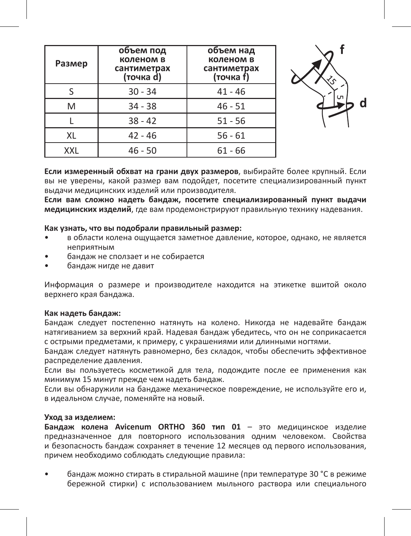| Размер | объем под<br>коленом в<br>сантиметрах<br>(точка d) | объем над<br>коленом в<br>сантиметрах<br>(точка f) |
|--------|----------------------------------------------------|----------------------------------------------------|
|        | $30 - 34$                                          | $41 - 46$                                          |
| M      | $34 - 38$                                          | $46 - 51$                                          |
|        | $38 - 42$                                          | $51 - 56$                                          |
| XL     | $42 - 46$                                          | $56 - 61$                                          |
| XXL    | $46 - 50$                                          | $61 - 66$                                          |



**Если измеренный обхват на грани двух размеров**, выбирайте более крупный. Если вы не уверены, какой размер вам подойдет, посетите специализированный пункт выдачи медицинских изделий или производителя.

**Если вам сложно надеть бандаж, посетите специализированный пункт выдачи медицинских изделий**, где вам продемонстрируют правильную технику надевания.

# **Как узнать, что вы подобрали правильный размер:**

- в области колена ощущается заметное давление, которое, однако, не является неприятным
- бандаж не сползает и не собирается
- бандаж нигде не давит

Информация о размере и производителе находится на этикетке вшитой около верхнего края бандажа.

#### **Как надеть бандаж:**

Бандаж следует постепенно натянуть на колено. Никогда не надевайте бандаж натягиванием за верхний край. Надевая бандаж убедитесь, что он не соприкасается с острыми предметами, к примеру, с украшениями или длинными ногтями.

Бандаж следует натянуть равномерно, без складок, чтобы обеспечить эффективное распределение давления.

Если вы пользуетесь косметикой для тела, подождите после ее применения как минимум 15 минут прежде чем надеть бандаж.

Если вы обнаружили на бандаже механическое повреждение, не используйте его и, в идеальном случае, поменяйте на новый.

#### **Уход за изделием:**

**Бандаж колена Avicenum ORTHO 360 тип 01** – это медицинское изделие предназначенное для повторного использования одним человеком. Свойства и безопасность бандаж сохраняет в течение 12 месяцев од первого использования, причем необходимо соблюдать следующие правила:

• бандаж можно стирать в стиральной машине (при температуре 30 °C в режиме бережной стирки) с использованием мыльного раствора или специального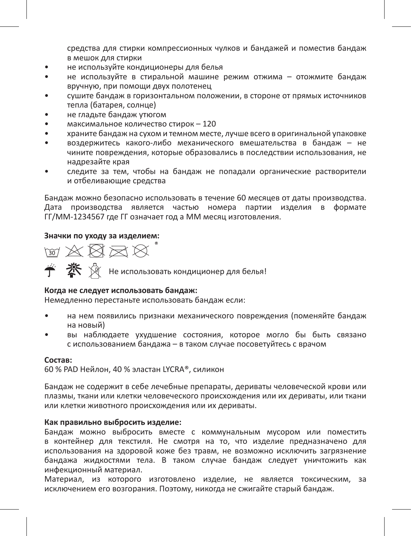средства для стирки компрессионных чулков и бандажей и поместив бандаж в мешок для стирки

- не используйте кондиционеры для белья
- не используйте в стиральной машине режим отжима отожмите бандаж вручную, при помощи двух полотенец
- сушите бандаж в горизонтальном положении, в стороне от прямых источников тепла (батарея, солнце)
- не гладьте бандаж утюгом
- максимальное количество стирок 120
- храните бандаж на сухом и темном месте, лучше всего в оригинальной упаковке
- воздержитесь какого-либо механического вмешательства в бандаж не чините повреждения, которые образовались в последствии использования, не надрезайте края
- следите за тем, чтобы на бандаж не попадали органические растворители и отбеливающие средства

Бандаж можно безопасно использовать в течение 60 месяцев от даты производства. Дата производства является частью номера партии изделия в формате ГГ/ММ-1234567 где ГГ означает год а ММ месяц изготовления.

# **Значки по уходу за изделием:**

 $\text{W X R} \boxtimes \text{W}^*$ 

Не использовать кондиционер для белья!

# **Когда не следует использовать бандаж:**

Немедленно перестаньте использовать бандаж если:

- на нем появились признаки механического повреждения (поменяйте бандаж на новый)
- вы наблюдаете ухудшение состояния, которое могло бы быть связано с использованием бандажа – в таком случае посоветуйтесь с врачом

#### **Состав:**

60 % PAD Нейлон, 40 % эластан LYCRA®, силикон

Бандаж не содержит в себе лечебные препараты, дериваты человеческой крови или плазмы, ткани или клетки человеческого происхождения или их дериваты, или ткани или клетки животного происхождения или их дериваты.

# **Как правильно выбросить изделие:**

Бандаж можно выбросить вместе с коммунальным мусором или поместить в контейнер для текстиля. Не смотря на то, что изделие предназначено для использования на здоровой коже без травм, не возможно исключить загрязнение бандажа жидкостями тела. В таком случае бандаж следует уничтожить как инфекционный материал.

Материал, из которого изготовлено изделие, не является токсическим, за исключением его возгорания. Поэтому, никогда не сжигайте старый бандаж.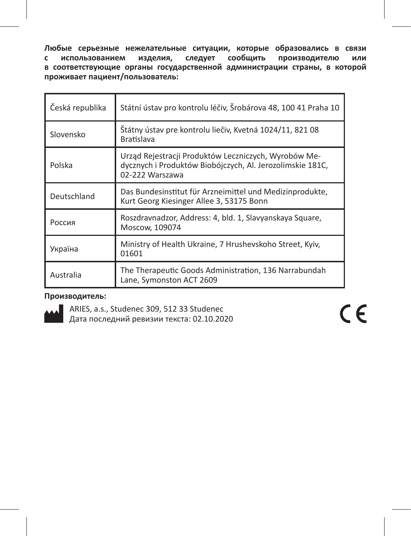**Любые серьезные нежелательные ситуации, которые образовались в связи с использованием изделия, следует сообщить производителю или в соответствующие органы государственной администрации страны, в которой проживает пациент/пользователь:** 

| Česká republika | Státní ústav pro kontrolu léčiv, Šrobárova 48, 100 41 Praha 10                                                                       |
|-----------------|--------------------------------------------------------------------------------------------------------------------------------------|
| Slovensko       | Štátny ústav pre kontrolu liečiv, Kvetná 1024/11, 821 08<br><b>Bratislava</b>                                                        |
| Polska          | Urząd Rejestracji Produktów Leczniczych, Wyrobów Me-<br>dycznych i Produktów Biobójczych, Al. Jerozolimskie 181C,<br>02-222 Warszawa |
| Deutschland     | Das Bundesinstitut für Arzneimittel und Medizinprodukte,<br>Kurt Georg Kiesinger Allee 3, 53175 Bonn                                 |
| Россия          | Roszdravnadzor, Address: 4, bld. 1, Slavyanskaya Square,<br>Moscow, 109074                                                           |
| Україна         | Ministry of Health Ukraine, 7 Hrushevskoho Street, Kyiv,<br>01601                                                                    |
| Australia       | The Therapeutic Goods Administration, 136 Narrabundah<br>Lane, Symonston ACT 2609                                                    |

# **Производитель:**



ARIES, a.s., Studenec 309, 512 33 Studenec Дата последний ревизии текста: 02.10.2020  $C \in$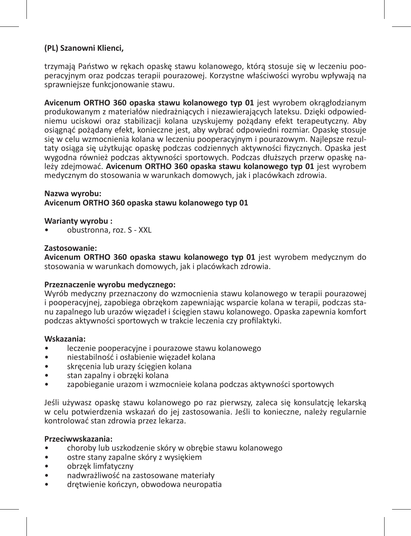# **(PL) Szanowni Klienci,**

trzymają Państwo w rękach opaskę stawu kolanowego, którą stosuje się w leczeniu pooperacyjnym oraz podczas terapii pourazowej. Korzystne właściwości wyrobu wpływają na sprawniejsze funkcjonowanie stawu.

**Avicenum ORTHO 360 opaska stawu kolanowego typ 01** jest wyrobem okrągłodzianym produkowanym z materiałów niedrażniących i niezawierających lateksu. Dzięki odpowiedniemu uciskowi oraz stabilizacji kolana uzyskujemy pożądany efekt terapeutyczny. Aby osiągnąć pożądany efekt, konieczne jest, aby wybrać odpowiedni rozmiar. Opaskę stosuje się w celu wzmocnienia kolana w leczeniu pooperacyjnym i pourazowym. Najlepsze rezultaty osiąga się użytkując opaskę podczas codziennych aktywności fizycznych. Opaska jest wygodna również podczas aktywności sportowych. Podczas dłuższych przerw opaskę należy zdejmować. **Avicenum ORTHO 360 opaska stawu kolanowego typ 01** jest wyrobem medycznym do stosowania w warunkach domowych, jak i placówkach zdrowia.

#### **Nazwa wyrobu: Avicenum ORTHO 360 opaska stawu kolanowego typ 01**

**Warianty wyrobu :**

• obustronna, roz. S - XXL

#### **Zastosowanie:**

**Avicenum ORTHO 360 opaska stawu kolanowego typ 01** jest wyrobem medycznym do stosowania w warunkach domowych, jak i placówkach zdrowia.

# **Przeznaczenie wyrobu medycznego:**

Wyrób medyczny przeznaczony do wzmocnienia stawu kolanowego w terapii pourazowej i pooperacyjnej, zapobiega obrzękom zapewniając wsparcie kolana w terapii, podczas stanu zapalnego lub urazów więzadeł i ścięgien stawu kolanowego. Opaska zapewnia komfort podczas aktywności sportowych w trakcie leczenia czy profilaktyki.

#### **Wskazania:**

- leczenie pooperacyjne i pourazowe stawu kolanowego
- niestabilność i osłabienie więzadeł kolana
- skręcenia lub urazy ścięgien kolana
- stan zapalny i obrzęki kolana
- zapobieganie urazom i wzmocnieie kolana podczas aktywności sportowych

Jeśli używasz opaskę stawu kolanowego po raz pierwszy, zaleca się konsulatcję lekarską w celu potwierdzenia wskazań do jej zastosowania. Jeśli to konieczne, należy regularnie kontrolować stan zdrowia przez lekarza.

# **Przeciwwskazania:**

- choroby lub uszkodzenie skóry w obrębie stawu kolanowego
- ostre stany zapalne skóry z wysiękiem
- obrzęk limfatyczny
- nadwrażliwość na zastosowane materiały
- drętwienie kończyn, obwodowa neuropatia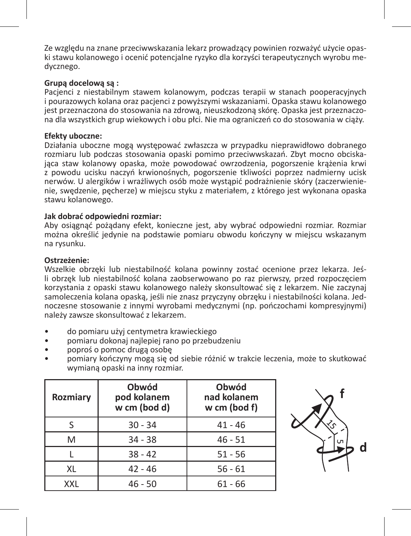Ze względu na znane przeciwwskazania lekarz prowadzący powinien rozważyć użycie opaski stawu kolanowego i ocenić potencjalne ryzyko dla korzyści terapeutycznych wyrobu medycznego.

# **Grupą docelową są :**

Pacjenci z niestabilnym stawem kolanowym, podczas terapii w stanach pooperacyjnych i pourazowych kolana oraz pacjenci z powyższymi wskazaniami. Opaska stawu kolanowego jest przeznaczona do stosowania na zdrową, nieuszkodzoną skórę. Opaska jest przeznaczona dla wszystkich grup wiekowych i obu płci. Nie ma ograniczeń co do stosowania w ciąży.

# **Efekty uboczne:**

Działania uboczne mogą występować zwłaszcza w przypadku nieprawidłowo dobranego rozmiaru lub podczas stosowania opaski pomimo przeciwwskazań. Zbyt mocno obciskająca staw kolanowy opaska, może powodować owrzodzenia, pogorszenie krążenia krwi z powodu ucisku naczyń krwionośnych, pogorszenie tkliwości poprzez nadmierny ucisk nerwów. U alergików i wrażliwych osób może wystąpić podrażnienie skóry (zaczerwienienie, swędzenie, pęcherze) w miejscu styku z materiałem, z którego jest wykonana opaska stawu kolanowego.

# **Jak dobrać odpowiedni rozmiar:**

Aby osiągnąć pożądany efekt, konieczne jest, aby wybrać odpowiedni rozmiar. Rozmiar można określić jedynie na podstawie pomiaru obwodu kończyny w miejscu wskazanym na rysunku.

# **Ostrzeżenie:**

Wszelkie obrzęki lub niestabilność kolana powinny zostać ocenione przez lekarza. Jeśli obrzęk lub niestabilność kolana zaobserwowano po raz pierwszy, przed rozpoczęciem korzystania z opaski stawu kolanowego należy skonsultować się z lekarzem. Nie zaczynaj samoleczenia kolana opaską, jeśli nie znasz przyczyny obrzęku i niestabilności kolana. Jednoczesne stosowanie z innymi wyrobami medycznymi (np. pończochami kompresyjnymi) należy zawsze skonsultować z lekarzem.

- do pomiaru użyj centymetra krawieckiego
- pomiaru dokonaj najlepiej rano po przebudzeniu
- poproś o pomoc drugą osobę
- pomiary kończyny mogą się od siebie różnić w trakcie leczenia, może to skutkować wymianą opaski na inny rozmiar.

| Rozmiary   | Obwód<br>pod kolanem<br>w cm (bod d) | Obwód<br>nad kolanem<br>w cm (bod f) |
|------------|--------------------------------------|--------------------------------------|
| ς          | $30 - 34$                            | $41 - 46$                            |
| M          | $34 - 38$                            | $46 - 51$                            |
|            | $38 - 42$                            | $51 - 56$                            |
| XL         | $42 - 46$                            | $56 - 61$                            |
| <b>YYI</b> | $46 - 50$                            | 61 - 66                              |

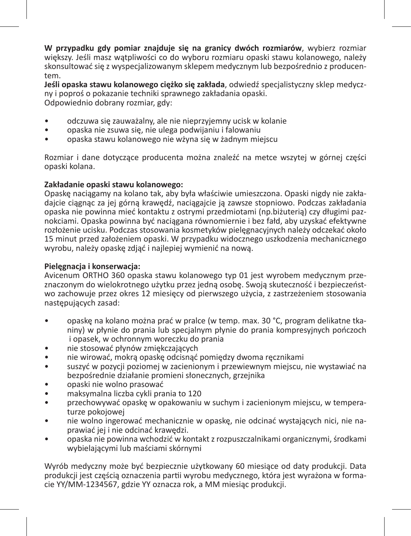**W przypadku gdy pomiar znajduje się na granicy dwóch rozmiarów**, wybierz rozmiar większy. Jeśli masz wątpliwości co do wyboru rozmiaru opaski stawu kolanowego, należy skonsultować się z wyspecjalizowanym sklepem medycznym lub bezpośrednio z producentem.

**Jeśli opaska stawu kolanowego ciężko się zakłada**, odwiedź specjalistyczny sklep medyczny i poproś o pokazanie techniki sprawnego zakładania opaski. Odpowiednio dobrany rozmiar, gdy:

- odczuwa się zauważalny, ale nie nieprzyjemny ucisk w kolanie
- opaska nie zsuwa się, nie ulega podwijaniu i falowaniu
- opaska stawu kolanowego nie wżyna się w żadnym miejscu

Rozmiar i dane dotyczące producenta można znaleźć na metce wszytej w górnej części opaski kolana.

# **Zakładanie opaski stawu kolanowego:**

Opaskę naciągamy na kolano tak, aby była właściwie umieszczona. Opaski nigdy nie zakładajcie ciągnąc za jej górną krawędź, naciągajcie ją zawsze stopniowo. Podczas zakładania opaska nie powinna mieć kontaktu z ostrymi przedmiotami (np.biżuterią) czy długimi paznokciami. Opaska powinna być naciągana równomiernie i bez fałd, aby uzyskać efektywne rozłożenie ucisku. Podczas stosowania kosmetyków pielęgnacyjnych należy odczekać około 15 minut przed założeniem opaski. W przypadku widocznego uszkodzenia mechanicznego wyrobu, należy opaskę zdjąć i najlepiej wymienić na nową.

# **Pielęgnacja i konserwacja:**

Avicenum ORTHO 360 opaska stawu kolanowego typ 01 jest wyrobem medycznym przeznaczonym do wielokrotnego użytku przez jedną osobę. Swoją skuteczność i bezpieczeństwo zachowuje przez okres 12 miesięcy od pierwszego użycia, z zastrzeżeniem stosowania następujących zasad:

- opaskę na kolano można prać w pralce (w temp. max. 30 °C, program delikatne tkaniny) w płynie do prania lub specjalnym płynie do prania kompresyjnych pończoch i opasek, w ochronnym woreczku do prania
- nie stosować płynów zmiękczających
- nie wirować, mokrą opaskę odcisnąć pomiędzy dwoma ręcznikami
- suszyć w pozycji poziomej w zacienionym i przewiewnym miejscu, nie wystawiać na bezpośrednie działanie promieni słonecznych, grzejnika
- opaski nie wolno prasować
- maksymalna liczba cykli prania to 120
- przechowywać opaskę w opakowaniu w suchym i zacienionym miejscu, w temperaturze pokojowej
- nie wolno ingerować mechanicznie w opaskę, nie odcinać wystających nici, nie naprawiać jej i nie odcinać krawędzi.
- opaska nie powinna wchodzić w kontakt z rozpuszczalnikami organicznymi, środkami wybielającymi lub maściami skórnymi

Wyrób medyczny może być bezpiecznie użytkowany 60 miesiące od daty produkcji. Data produkcji jest częścią oznaczenia partii wyrobu medycznego, która jest wyrażona w formacie YY/MM-1234567, gdzie YY oznacza rok, a MM miesiąc produkcji.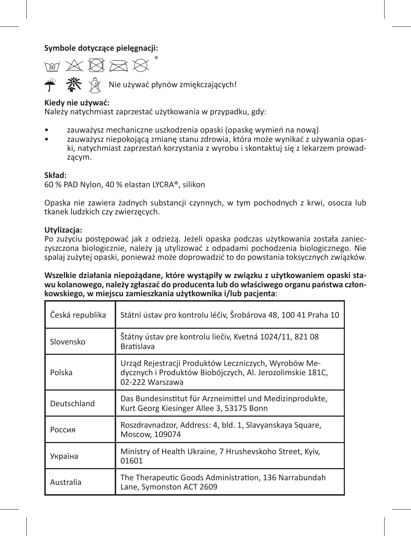**Symbole dotyczące pielęgnacji:** 

™ X ¤ ™ X  $\mathbf{\mathbb{X}} \quad \mathbf{\mathbb{S}}$  Nie używać płynów zmiękczających!

# **Kiedy nie używać:**

Należy natychmiast zaprzestać użytkowania w przypadku, gdy:

- zauważysz mechaniczne uszkodzenia opaski (opaskę wymień na nową)
- zauważysz niepokojącą zmianę stanu zdrowia, która może wynikać z używania opaski, natychmiast zaprzestań korzystania z wyrobu i skontaktuj się z lekarzem prowadzącym.

# **Skład:**

60 % PAD Nylon, 40 % elastan LYCRA®, silikon

Opaska nie zawiera żadnych substancji czynnych, w tym pochodnych z krwi, osocza lub tkanek ludzkich czy zwierzęcych.

# **Utylizacja:**

Po zużyciu postępować jak z odzieżą. Jeżeli opaska podczas użytkowania została zanieczyszczona biologicznie, należy ją utylizować z odpadami pochodzenia biologicznego. Nie spalaj zużytej opaski, ponieważ może doprowadzić to do powstania toksycznych związków.

**Wszelkie działania niepożądane, które wystąpiły w związku z użytkowaniem opaski stawu kolanowego, należy zgłaszać do producenta lub do właściwego organu państwa członkowskiego, w miejscu zamieszkania użytkownika i/lub pacjenta**:

| Česká republika | Státní ústav pro kontrolu léčiv, Šrobárova 48, 100 41 Praha 10                                                                       |
|-----------------|--------------------------------------------------------------------------------------------------------------------------------------|
| Slovensko       | Štátny ústav pre kontrolu liečiv, Kvetná 1024/11, 821 08<br><b>Bratislava</b>                                                        |
| Polska          | Urząd Rejestracji Produktów Leczniczych, Wyrobów Me-<br>dycznych i Produktów Biobójczych, Al. Jerozolimskie 181C,<br>02-222 Warszawa |
| Deutschland     | Das Bundesinstitut für Arzneimittel und Medizinprodukte,<br>Kurt Georg Kiesinger Allee 3, 53175 Bonn                                 |
| Россия          | Roszdravnadzor, Address: 4, bld. 1, Slavyanskaya Square,<br>Moscow. 109074                                                           |
| Україна         | Ministry of Health Ukraine, 7 Hrushevskoho Street, Kyiv,<br>01601                                                                    |
| Australia       | The Therapeutic Goods Administration, 136 Narrabundah<br>Lane, Symonston ACT 2609                                                    |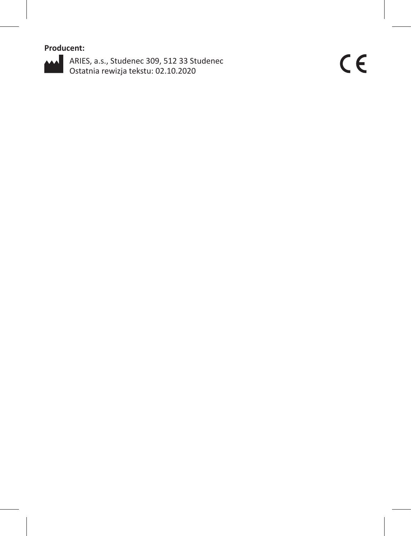**Producent:**



ARIES, a.s., Studenec 309, 512 33 Studenec Ostatnia rewizja tekstu: 02.10.2020

 $C \in$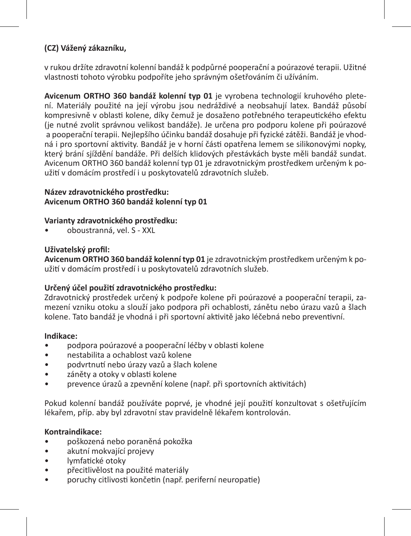# **(CZ) Vážený zákazníku,**

v rukou držíte zdravotní kolenní bandáž k podpůrné pooperační a poúrazové terapii. Užitné vlastnosti tohoto výrobku podpoříte jeho správným ošetřováním či užíváním.

**Avicenum ORTHO 360 bandáž kolenní typ 01** je vyrobena technologií kruhového pletení. Materiály použité na její výrobu jsou nedráždivé a neobsahují latex. Bandáž působí kompresivně v oblasti kolene, díky čemuž je dosaženo potřebného terapeutického efektu (je nutné zvolit správnou velikost bandáže). Je určena pro podporu kolene při poúrazové a pooperační terapii. Nejlepšího účinku bandáž dosahuje při fyzické zátěži. Bandáž je vhodná i pro sportovní aktivity. Bandáž je v horní části opatřena lemem se silikonovými nopky, který brání sjíždění bandáže. Při delších klidových přestávkách byste měli bandáž sundat. Avicenum ORTHO 360 bandáž kolenní typ 01 je zdravotnickým prostředkem určeným k použití v domácím prostředí i u poskytovatelů zdravotních služeb.

# **Název zdravotnického prostředku: Avicenum ORTHO 360 bandáž kolenní typ 01**

# **Varianty zdravotnického prostředku:**

• oboustranná, vel. S - XXL

# **Uživatelský profil:**

**Avicenum ORTHO 360 bandáž kolenní typ 01** je zdravotnickým prostředkem určeným k použití v domácím prostředí i u poskytovatelů zdravotních služeb.

# **Určený účel použití zdravotnického prostředku:**

Zdravotnický prostředek určený k podpoře kolene při poúrazové a pooperační terapii, zamezení vzniku otoku a slouží jako podpora při ochablosti, zánětu nebo úrazu vazů a šlach kolene. Tato bandáž je vhodná i při sportovní aktivitě jako léčebná nebo preventivní.

# **Indikace:**

- podpora poúrazové a pooperační léčby v oblasti kolene
- nestabilita a ochablost vazů kolene
- podvrtnutí nebo úrazy vazů a šlach kolene
- záněty a otoky v oblasti kolene
- prevence úrazů a zpevnění kolene (např. při sportovních aktivitách)

Pokud kolenní bandáž používáte poprvé, je vhodné její použití konzultovat s ošetřujícím lékařem, příp. aby byl zdravotní stav pravidelně lékařem kontrolován.

# **Kontraindikace:**

- poškozená nebo poraněná pokožka
- akutní mokvající projevy
- lymfatické otoky
- přecitlivělost na použité materiály
- poruchy citlivosti končetin (např. periferní neuropatie)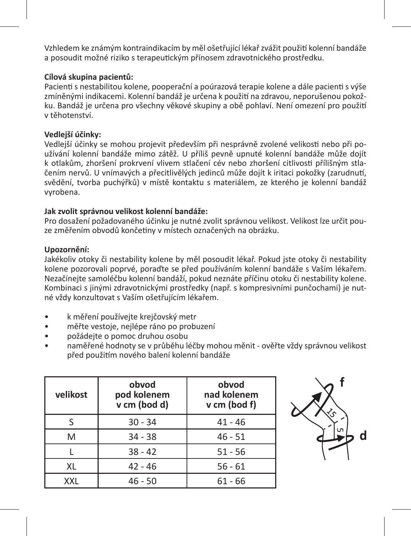Vzhledem ke známým kontraindikacím by měl ošetřující lékař zvážit použití kolenní bandáže a posoudit možné riziko s terapeutickým přínosem zdravotnického prostředku.

# **Cílová skupina pacientů:**

Pacienti s nestabilitou kolene, pooperační a poúrazová terapie kolene a dále pacienti s výše zmíněnými indikacemi. Kolenní bandáž je určena k použití na zdravou, neporušenou pokožku. Bandáž je určena pro všechny věkové skupiny a obě pohlaví. Není omezení pro použití v těhotenství.

# **Vedlejší účinky:**

Vedlejší účinky se mohou projevit především při nesprávně zvolené velikosti nebo při používání kolenní bandáže mimo zátěž. U příliš pevně upnuté kolenní bandáže může dojít k otlakům, zhoršení prokrvení vlivem stlačení cév nebo zhoršení citlivosti přílišným stlačením nervů. U vnímavých a přecitlivělých jedinců může dojít k iritaci pokožky (zarudnutí, svědění, tvorba puchýřků) v místě kontaktu s materiálem, ze kterého je kolenní bandáž vyrobena.

# **Jak zvolit správnou velikost kolenní bandáže:**

Pro dosažení požadovaného účinku je nutné zvolit správnou velikost. Velikost lze určit pouze změřením obvodů končetiny v místech označených na obrázku.

# **Upozornění:**

Jakékoliv otoky či nestability kolene by měl posoudit lékař. Pokud jste otoky či nestability kolene pozorovali poprvé, poraďte se před používáním kolenní bandáže s Vaším lékařem. Nezačínejte samoléčbu kolenní bandáží, pokud neznáte příčinu otoku či nestability kolene. Kombinaci s jinými zdravotnickými prostředky (např. s kompresivními punčochami) je nutné vždy konzultovat s Vaším ošetřujícím lékařem.

- k měření používejte krejčovský metr
- měřte vestoje, nejlépe ráno po probuzení
- požádejte o pomoc druhou osobu
- naměřené hodnoty se v průběhu léčby mohou měnit ověřte vždy správnou velikost před použitím nového balení kolenní bandáže

| velikost | obvod<br>pod kolenem<br>v cm (bod d) | obvod<br>nad kolenem<br>v cm (bod f) |
|----------|--------------------------------------|--------------------------------------|
|          | $30 - 34$                            | $41 - 46$                            |
| M        | $34 - 38$                            | $46 - 51$                            |
|          | $38 - 42$                            | $51 - 56$                            |
| XL       | $42 - 46$                            | $56 - 61$                            |
| XXL      | $46 - 50$                            | $61 - 66$                            |

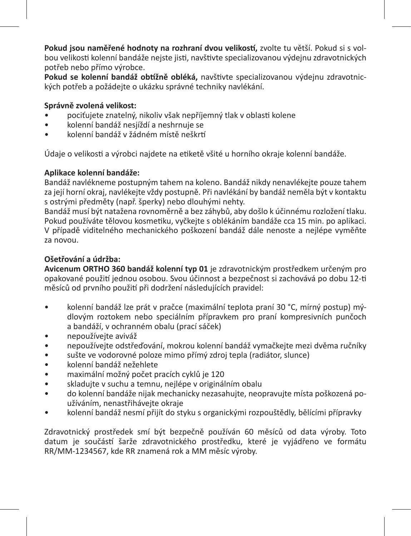**Pokud jsou naměřené hodnoty na rozhraní dvou velikostí,** zvolte tu větší. Pokud si s volbou velikosti kolenní bandáže nejste jisti, navštivte specializovanou výdejnu zdravotnických potřeb nebo přímo výrobce.

**Pokud se kolenní bandáž obtížně obléká,** navštivte specializovanou výdejnu zdravotnických potřeb a požádejte o ukázku správné techniky navlékání.

# **Správně zvolená velikost:**

- pociťujete znatelný, nikoliv však nepříjemný tlak v oblasti kolene
- kolenní bandáž nesjíždí a neshrnuje se
- kolenní bandáž v žádném místě neškrtí

Údaje o velikosti a výrobci najdete na etiketě všité u horního okraje kolenní bandáže.

# **Aplikace kolenní bandáže:**

Bandáž navlékneme postupným tahem na koleno. Bandáž nikdy nenavlékejte pouze tahem za její horní okraj, navlékejte vždy postupně. Při navlékání by bandáž neměla být v kontaktu s ostrými předměty (např. šperky) nebo dlouhými nehty.

Bandáž musí být natažena rovnoměrně a bez záhybů, aby došlo k účinnému rozložení tlaku. Pokud používáte tělovou kosmetiku, vyčkejte s oblékáním bandáže cca 15 min. po aplikaci. V případě viditelného mechanického poškození bandáž dále nenoste a nejlépe vyměňte za novou.

# **Ošetřování a údržba:**

**Avicenum ORTHO 360 bandáž kolenní typ 01** je zdravotnickým prostředkem určeným pro opakované použití jednou osobou. Svou účinnost a bezpečnost si zachovává po dobu 12-ti měsíců od prvního použití při dodržení následujících pravidel:

- kolenní bandáž lze prát v pračce (maximální teplota praní 30 °C, mírný postup) mýdlovým roztokem nebo speciálním přípravkem pro praní kompresivních punčoch a bandáží, v ochranném obalu (prací sáček)
- nepoužívejte aviváž
- nepoužívejte odstřeďování, mokrou kolenní bandáž vymačkejte mezi dvěma ručníky
- sušte ve vodorovné poloze mimo přímý zdroj tepla (radiátor, slunce)
- kolenní bandáž nežehlete
- maximální možný počet pracích cyklů je 120
- skladujte v suchu a temnu, nejlépe v originálním obalu
- do kolenní bandáže nijak mechanicky nezasahujte, neopravujte místa poškozená používáním, nenastřihávejte okraje
- kolenní bandáž nesmí přijít do styku s organickými rozpouštědly, bělícími přípravky

Zdravotnický prostředek smí být bezpečně používán 60 měsíců od data výroby. Toto datum je součástí šarže zdravotnického prostředku, které je vyjádřeno ve formátu RR/MM-1234567, kde RR znamená rok a MM měsíc výroby.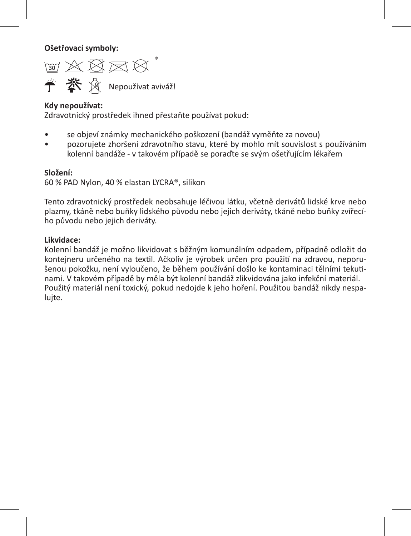**Ošetřovací symboly:** 

™☆☆☆☆ **学 茶** 风 Nepoužívat aviváž!

# **Kdy nepoužívat:**

Zdravotnický prostředek ihned přestaňte používat pokud:

- se objeví známky mechanického poškození (bandáž vyměňte za novou)
- pozorujete zhoršení zdravotního stavu, které by mohlo mít souvislost s používáním kolenní bandáže - v takovém případě se poraďte se svým ošetřujícím lékařem

#### **Složení:**

60 % PAD Nylon, 40 % elastan LYCRA®, silikon

Tento zdravotnický prostředek neobsahuje léčivou látku, včetně derivátů lidské krve nebo plazmy, tkáně nebo buňky lidského původu nebo jejich deriváty, tkáně nebo buňky zvířecího původu nebo jejich deriváty.

# **Likvidace:**

Kolenní bandáž je možno likvidovat s běžným komunálním odpadem, případně odložit do kontejneru určeného na textil. Ačkoliv je výrobek určen pro použití na zdravou, neporušenou pokožku, není vyloučeno, že během používání došlo ke kontaminaci tělními tekutinami. V takovém případě by měla být kolenní bandáž zlikvidována jako infekční materiál. Použitý materiál není toxický, pokud nedojde k jeho hoření. Použitou bandáž nikdy nespaluite.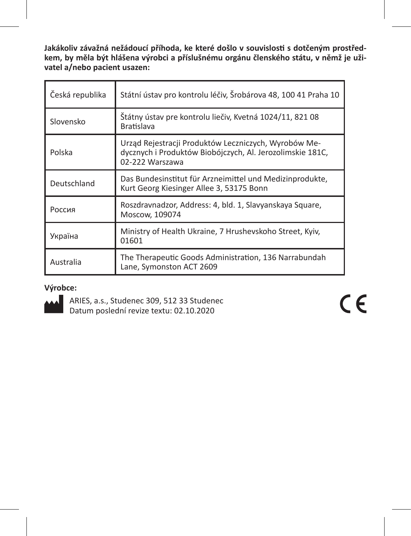**Jakákoliv závažná nežádoucí příhoda, ke které došlo v souvislosti s dotčeným prostředkem, by měla být hlášena výrobci a příslušnému orgánu členského státu, v němž je uživatel a/nebo pacient usazen:** 

| Česká republika | Státní ústav pro kontrolu léčiv, Šrobárova 48, 100 41 Praha 10                                                                       |
|-----------------|--------------------------------------------------------------------------------------------------------------------------------------|
| Slovensko       | Štátny ústav pre kontrolu liečiv, Kvetná 1024/11, 821 08<br><b>Bratislava</b>                                                        |
| Polska          | Urząd Rejestracji Produktów Leczniczych, Wyrobów Me-<br>dycznych i Produktów Biobójczych, Al. Jerozolimskie 181C,<br>02-222 Warszawa |
| Deutschland     | Das Bundesinstitut für Arzneimittel und Medizinprodukte,<br>Kurt Georg Kiesinger Allee 3, 53175 Bonn                                 |
| Россия          | Roszdravnadzor, Address: 4, bld. 1, Slavyanskaya Square,<br>Moscow, 109074                                                           |
| Україна         | Ministry of Health Ukraine, 7 Hrushevskoho Street, Kyiv,<br>01601                                                                    |
| Australia       | The Therapeutic Goods Administration, 136 Narrabundah<br>Lane, Symonston ACT 2609                                                    |

# **Výrobce:**



ARIES, a.s., Studenec 309, 512 33 Studenec Datum poslední revize textu: 02.10.2020

 $C \in$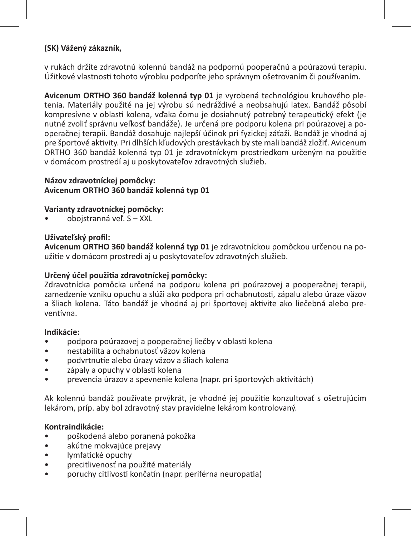# **(SK) Vážený zákazník,**

v rukách držíte zdravotnú kolennú bandáž na podpornú pooperačnú a poúrazovú terapiu. Úžitkové vlastnosti tohoto výrobku podporíte jeho správnym ošetrovaním či používaním.

**Avicenum ORTHO 360 bandáž kolenná typ 01** je vyrobená technológiou kruhového pletenia. Materiály použité na jej výrobu sú nedráždivé a neobsahujú latex. Bandáž pôsobí kompresívne v oblasti kolena, vďaka čomu je dosiahnutý potrebný terapeutický efekt (je nutné zvoliť správnu veľkosť bandáže). Je určená pre podporu kolena pri poúrazovej a pooperačnej terapii. Bandáž dosahuje najlepší účinok pri fyzickej záťaži. Bandáž je vhodná aj pre športové aktivity. Pri dlhších kľudových prestávkach by ste mali bandáž zložiť. Avicenum ORTHO 360 bandáž kolenná typ 01 je zdravotníckym prostriedkom určeným na použitie v domácom prostredí aj u poskytovateľov zdravotných služieb.

# **Názov zdravotníckej pomôcky: Avicenum ORTHO 360 bandáž kolenná typ 01**

# **Varianty zdravotníckej pomôcky:**

• obojstranná veľ. S – XXL

# **Uživateľský profil:**

**Avicenum ORTHO 360 bandáž kolenná typ 01** je zdravotníckou pomôckou určenou na použitie v domácom prostredí aj u poskytovateľov zdravotných služieb.

# **Určený účel použitia zdravotníckej pomôcky:**

Zdravotnícka pomôcka určená na podporu kolena pri poúrazovej a pooperačnej terapii, zamedzenie vzniku opuchu a slúži ako podpora pri ochabnutosti, zápalu alebo úraze väzov a šliach kolena. Táto bandáž je vhodná aj pri športovej aktivite ako liečebná alebo preventívna.

# **Indikácie:**

- podpora poúrazovej a pooperačnej liečby v oblasti kolena
- nestabilita a ochabnutosť väzov kolena
- podvrtnutie alebo úrazy väzov a šliach kolena
- zápaly a opuchy v oblasti kolena
- prevencia úrazov a spevnenie kolena (napr. pri športových aktivitách)

Ak kolennú bandáž používate prvýkrát, je vhodné jej použitie konzultovať s ošetrujúcim lekárom, príp. aby bol zdravotný stav pravidelne lekárom kontrolovaný.

# **Kontraindikácie:**

- poškodená alebo poranená pokožka
- akútne mokvajúce prejavy
- lymfatické opuchy
- precitlivenosť na použité materiály
- poruchy citlivosti končatín (napr. periférna neuropatia)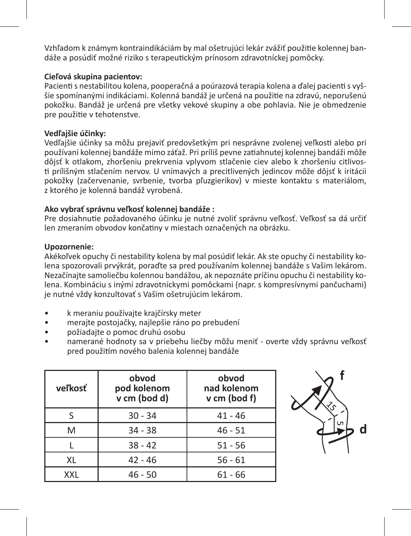Vzhľadom k známym kontraindikáciám by mal ošetrujúci lekár zvážiť použitie kolennej bandáže a posúdiť možné riziko s terapeutickým prínosom zdravotníckej pomôcky.

# **Cieľová skupina pacientov:**

Pacienti s nestabilitou kolena, pooperačná a poúrazová terapia kolena a ďalej pacienti s vyššie spomínanými indikáciami. Kolenná bandáž je určená na použitie na zdravú, neporušenú pokožku. Bandáž je určená pre všetky vekové skupiny a obe pohlavia. Nie je obmedzenie pre použitie v tehotenstve.

# **Vedľajšie účinky:**

Vedľajšie účinky sa môžu prejaviť predovšetkým pri nesprávne zvolenej veľkosti alebo pri používaní kolennej bandáže mimo záťaž. Pri príliš pevne zatiahnutej kolennej bandáži môže dôjsť k otlakom, zhoršeniu prekrvenia vplyvom stlačenie ciev alebo k zhoršeniu citlivosti prílišným stlačením nervov. U vnímavých a precitlivených jedincov môže dôjsť k iritácii pokožky (začervenanie, svrbenie, tvorba pľuzgierikov) v mieste kontaktu s materiálom, z ktorého je kolenná bandáž vyrobená.

# **Ako vybrať správnu veľkosť kolennej bandáže :**

Pre dosiahnutie požadovaného účinku je nutné zvoliť správnu veľkosť. Veľkosť sa dá určiť len zmeraním obvodov končatiny v miestach označených na obrázku.

# **Upozornenie:**

Akékoľvek opuchy či nestability kolena by mal posúdiť lekár. Ak ste opuchy či nestability kolena spozorovali prvýkrát, poraďte sa pred používaním kolennej bandáže s Vašim lekárom. Nezačínajte samoliečbu kolennou bandážou, ak nepoznáte príčinu opuchu či nestability kolena. Kombináciu s inými zdravotníckymi pomôckami (napr. s kompresívnymi pančuchami) je nutné vždy konzultovať s Vašim ošetrujúcim lekárom.

- k meraniu používajte krajčírsky meter
- merajte postojačky, najlepšie ráno po prebudení
- požiadajte o pomoc druhú osobu
- namerané hodnoty sa v priebehu liečby môžu meniť overte vždy správnu veľkosť pred použitím nového balenia kolennej bandáže

| veľkosť    | obvod<br>pod kolenom<br>v cm (bod d) | obvod<br>nad kolenom<br>v cm (bod f) |
|------------|--------------------------------------|--------------------------------------|
|            | $30 - 34$                            | $41 - 46$                            |
| M          | $34 - 38$                            | $46 - 51$                            |
|            | $38 - 42$                            | $51 - 56$                            |
| XL         | $42 - 46$                            | $56 - 61$                            |
| <b>XXL</b> | $46 - 50$                            | $61 - 66$                            |

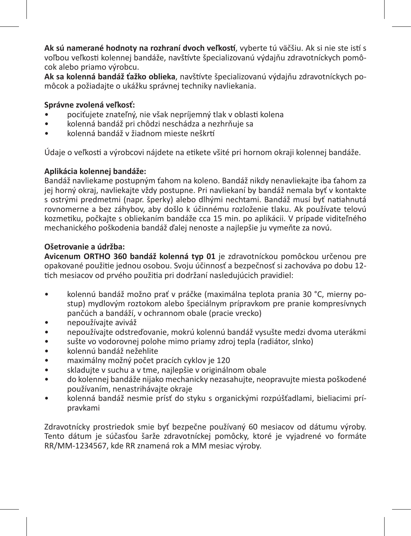**Ak sú namerané hodnoty na rozhraní dvoch veľkostí**, vyberte tú väčšiu. Ak si nie ste istí s voľbou veľkosti kolennej bandáže, navštívte špecializovanú výdajňu zdravotníckych pomôcok alebo priamo výrobcu.

**Ak sa kolenná bandáž ťažko oblieka**, navštívte špecializovanú výdajňu zdravotníckych pomôcok a požiadajte o ukážku správnej techniky navliekania.

# **Správne zvolená veľkosť:**

- pociťujete znateľný, nie však nepríjemný tlak v oblasti kolena
- kolenná bandáž pri chôdzi neschádza a nezhrňuje sa
- kolenná bandáž v žiadnom mieste neškrtí

Údaje o veľkosti a výrobcovi nájdete na etikete všité pri hornom okraji kolennej bandáže.

# **Aplikácia kolennej bandáže:**

Bandáž navliekame postupným ťahom na koleno. Bandáž nikdy nenavliekajte iba ťahom za jej horný okraj, navliekajte vždy postupne. Pri navliekaní by bandáž nemala byť v kontakte s ostrými predmetmi (napr. šperky) alebo dlhými nechtami. Bandáž musí byť natiahnutá rovnomerne a bez záhybov, aby došlo k účinnému rozloženie tlaku. Ak používate telovú kozmetiku, počkajte s obliekaním bandáže cca 15 min. po aplikácii. V prípade viditeľného mechanického poškodenia bandáž ďalej nenoste a najlepšie ju vymeňte za novú.

# **Ošetrovanie a údržba:**

**Avicenum ORTHO 360 bandáž kolenná typ 01** je zdravotníckou pomôckou určenou pre opakované použitie jednou osobou. Svoju účinnosť a bezpečnosť si zachováva po dobu 12 tich mesiacov od prvého použitia pri dodržaní nasledujúcich pravidiel:

- kolennú bandáž možno prať v práčke (maximálna teplota prania 30 °C, mierny postup) mydlovým roztokom alebo špeciálnym prípravkom pre pranie kompresívnych pančúch a bandáží, v ochrannom obale (pracie vrecko)
- nepoužívajte aviváž
- nepoužívajte odstreďovanie, mokrú kolennú bandáž vysušte medzi dvoma uterákmi
- sušte vo vodorovnej polohe mimo priamy zdroj tepla (radiátor, slnko)
- kolennú bandáž nežehlite
- maximálny možný počet pracích cyklov je 120
- skladujte v suchu a v tme, najlepšie v originálnom obale
- do kolennej bandáže nijako mechanicky nezasahujte, neopravujte miesta poškodené používaním, nenastrihávajte okraje
- kolenná bandáž nesmie prísť do styku s organickými rozpúšťadlami, bieliacimi prípravkami

Zdravotnícky prostriedok smie byť bezpečne používaný 60 mesiacov od dátumu výroby. Tento dátum je súčasťou šarže zdravotníckej pomôcky, ktoré je vyjadrené vo formáte RR/MM-1234567, kde RR znamená rok a MM mesiac výroby.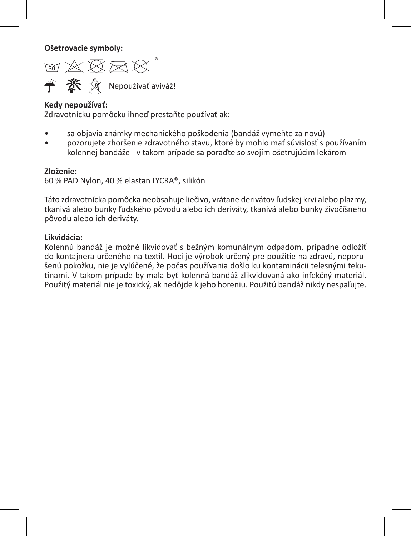**Ošetrovacie symboly:** 

िल ≫ छि छ छ Nepoužívať aviváž!

#### **Kedy nepoužívať:**

Zdravotnícku pomôcku ihneď prestaňte používať ak:

- sa objavia známky mechanického poškodenia (bandáž vymeňte za novú)
- pozorujete zhoršenie zdravotného stavu, ktoré by mohlo mať súvislosť s používaním kolennej bandáže - v takom prípade sa poraďte so svojím ošetrujúcim lekárom

#### **Zloženie:**

60 % PAD Nylon, 40 % elastan LYCRA®, silikón

Táto zdravotnícka pomôcka neobsahuje liečivo, vrátane derivátov ľudskej krvi alebo plazmy, tkanivá alebo bunky ľudského pôvodu alebo ich deriváty, tkanivá alebo bunky živočíšneho pôvodu alebo ich deriváty.

#### **Likvidácia:**

Kolennú bandáž je možné likvidovať s bežným komunálnym odpadom, prípadne odložiť do kontajnera určeného na textil. Hoci je výrobok určený pre použitie na zdravú, neporušenú pokožku, nie je vylúčené, že počas používania došlo ku kontaminácii telesnými tekutinami. V takom prípade by mala byť kolenná bandáž zlikvidovaná ako infekčný materiál. Použitý materiál nie je toxický, ak nedôjde k jeho horeniu. Použitú bandáž nikdy nespaľujte.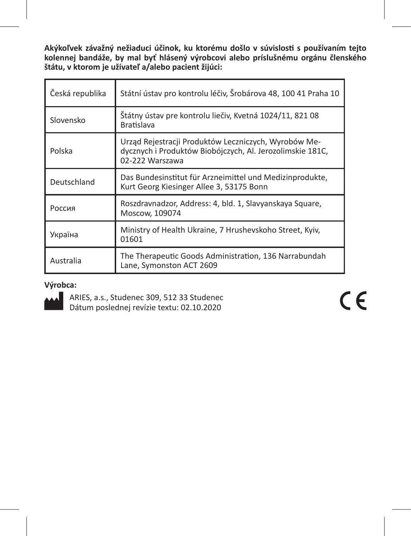**Akýkoľvek závažný nežiaduci účinok, ku ktorému došlo v súvislosti s používaním tejto kolennej bandáže, by mal byť hlásený výrobcovi alebo príslušnému orgánu členského štátu, v ktorom je užívateľ a/alebo pacient žijúci:**

| Česká republika | Státní ústav pro kontrolu léčiv, Šrobárova 48, 100 41 Praha 10                                                                       |
|-----------------|--------------------------------------------------------------------------------------------------------------------------------------|
| Slovensko       | Štátny ústav pre kontrolu liečiv, Kvetná 1024/11, 821 08<br><b>Bratislava</b>                                                        |
| Polska          | Urząd Rejestracji Produktów Leczniczych, Wyrobów Me-<br>dycznych i Produktów Biobójczych, Al. Jerozolimskie 181C,<br>02-222 Warszawa |
| Deutschland     | Das Bundesinstitut für Arzneimittel und Medizinprodukte,<br>Kurt Georg Kiesinger Allee 3, 53175 Bonn                                 |
| Россия          | Roszdravnadzor, Address: 4, bld. 1, Slavyanskaya Square,<br>Moscow, 109074                                                           |
| Україна         | Ministry of Health Ukraine, 7 Hrushevskoho Street, Kyiv,<br>01601                                                                    |
| Australia       | The Therapeutic Goods Administration, 136 Narrabundah<br>Lane, Symonston ACT 2609                                                    |

# **Výrobca:**



ARIES, a.s., Studenec 309, 512 33 Studenec Dátum poslednej revízie textu: 02.10.2020